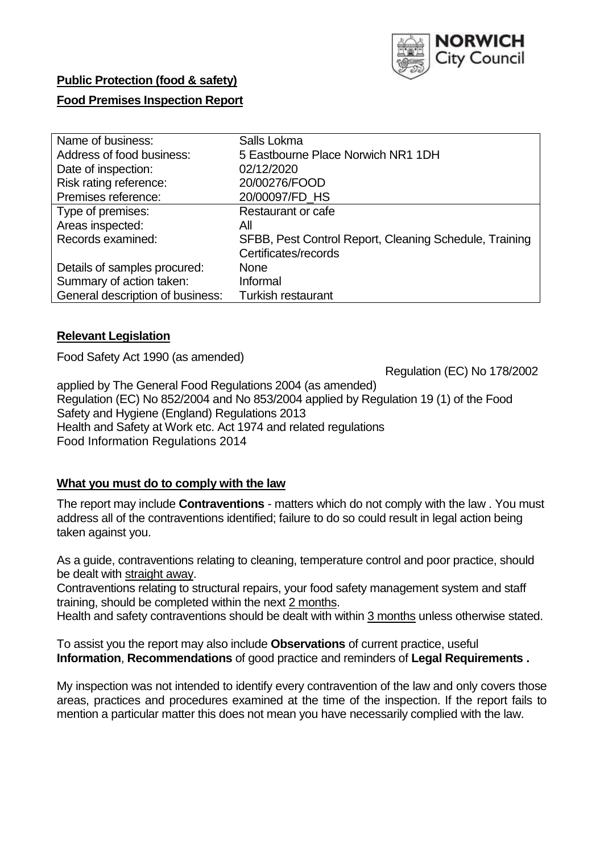

# **Public Protection (food & safety)**

### **Food Premises Inspection Report**

| Name of business:                | Salls Lokma                                            |
|----------------------------------|--------------------------------------------------------|
| Address of food business:        | 5 Eastbourne Place Norwich NR1 1DH                     |
| Date of inspection:              | 02/12/2020                                             |
| Risk rating reference:           | 20/00276/FOOD                                          |
| Premises reference:              | 20/00097/FD HS                                         |
| Type of premises:                | <b>Restaurant or cafe</b>                              |
| Areas inspected:                 | All                                                    |
| Records examined:                | SFBB, Pest Control Report, Cleaning Schedule, Training |
|                                  | Certificates/records                                   |
| Details of samples procured:     | <b>None</b>                                            |
| Summary of action taken:         | Informal                                               |
| General description of business: | <b>Turkish restaurant</b>                              |

### **Relevant Legislation**

Food Safety Act 1990 (as amended)

Regulation (EC) No 178/2002

 applied by The General Food Regulations 2004 (as amended) Regulation (EC) No 852/2004 and No 853/2004 applied by Regulation 19 (1) of the Food Safety and Hygiene (England) Regulations 2013 Health and Safety at Work etc. Act 1974 and related regulations Food Information Regulations 2014

# **What you must do to comply with the law**

 The report may include **Contraventions** - matters which do not comply with the law . You must address all of the contraventions identified; failure to do so could result in legal action being taken against you.

 As a guide, contraventions relating to cleaning, temperature control and poor practice, should be dealt with straight away.

 Contraventions relating to structural repairs, your food safety management system and staff training, should be completed within the next 2 months.

Health and safety contraventions should be dealt with within 3 months unless otherwise stated.

 To assist you the report may also include **Observations** of current practice, useful **Information**, **Recommendations** of good practice and reminders of **Legal Requirements .** 

 My inspection was not intended to identify every contravention of the law and only covers those areas, practices and procedures examined at the time of the inspection. If the report fails to mention a particular matter this does not mean you have necessarily complied with the law.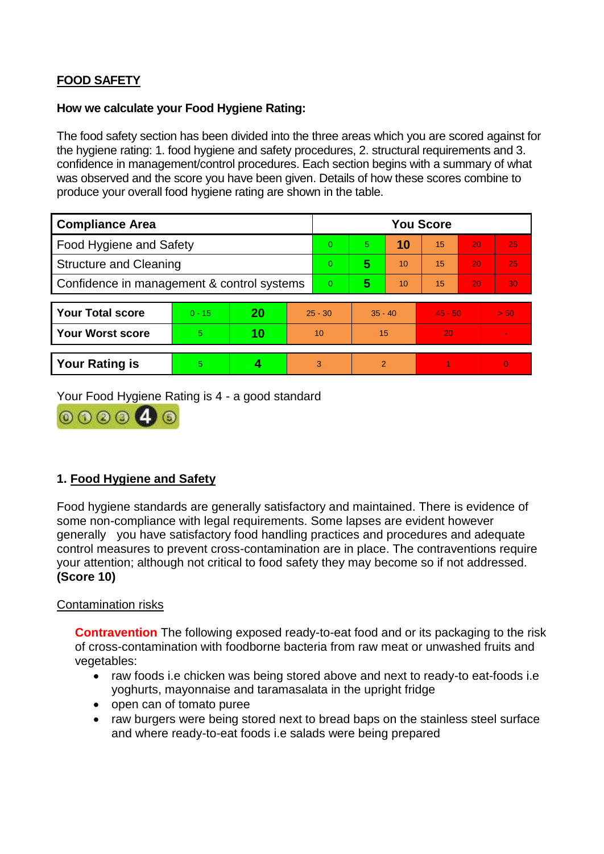# **FOOD SAFETY**

#### **How we calculate your Food Hygiene Rating:**

 The food safety section has been divided into the three areas which you are scored against for the hygiene rating: 1. food hygiene and safety procedures, 2. structural requirements and 3. confidence in management/control procedures. Each section begins with a summary of what was observed and the score you have been given. Details of how these scores combine to produce your overall food hygiene rating are shown in the table.

| <b>Compliance Area</b>                     |          |    |                | <b>You Score</b> |                |    |           |    |          |  |  |
|--------------------------------------------|----------|----|----------------|------------------|----------------|----|-----------|----|----------|--|--|
| Food Hygiene and Safety                    |          |    |                | $\Omega$         | 5.             | 10 | 15        | 20 | 25       |  |  |
| <b>Structure and Cleaning</b>              |          |    |                | $\Omega$         | 5              | 10 | 15        | 20 | 25       |  |  |
| Confidence in management & control systems |          |    | $\overline{0}$ | 5                | 10             | 15 | 20        | 30 |          |  |  |
|                                            |          |    |                |                  |                |    |           |    |          |  |  |
| <b>Your Total score</b>                    | $0 - 15$ | 20 | $25 - 30$      |                  | $35 - 40$      |    | $45 - 50$ |    | > 50     |  |  |
| <b>Your Worst score</b>                    | 5        | 10 | 10             |                  | 15             |    | 20        |    |          |  |  |
|                                            |          |    |                |                  |                |    |           |    |          |  |  |
| <b>Your Rating is</b>                      | 5        |    |                | 3                | $\overline{2}$ |    |           |    | $\Omega$ |  |  |

Your Food Hygiene Rating is 4 - a good standard



# **1. Food Hygiene and Safety**

 generally you have satisfactory food handling practices and procedures and adequate Food hygiene standards are generally satisfactory and maintained. There is evidence of some non-compliance with legal requirements. Some lapses are evident however control measures to prevent cross-contamination are in place. The contraventions require your attention; although not critical to food safety they may become so if not addressed. **(Score 10)** 

### Contamination risks

 of cross-contamination with foodborne bacteria from raw meat or unwashed fruits and **Contravention** The following exposed ready-to-eat food and or its packaging to the risk vegetables:

- yoghurts, mayonnaise and taramasalata in the upright fridge • raw foods i.e chicken was being stored above and next to ready-to eat-foods i.e
- open can of tomato puree
- raw burgers were being stored next to bread baps on the stainless steel surface and where ready-to-eat foods i.e salads were being prepared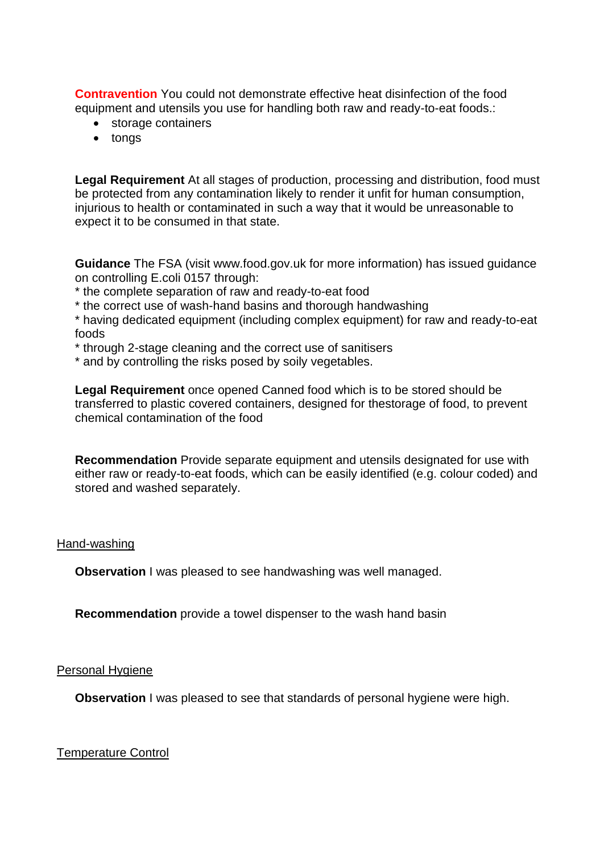**Contravention** You could not demonstrate effective heat disinfection of the food equipment and utensils you use for handling both raw and ready-to-eat foods.:

- storage containers
- tongs

 be protected from any contamination likely to render it unfit for human consumption, injurious to health or contaminated in such a way that it would be unreasonable to **Legal Requirement** At all stages of production, processing and distribution, food must expect it to be consumed in that state.

**Guidance** The FSA (visit <www.food.gov.uk> for more information) has issued guidance on controlling E.coli 0157 through:

- \* the complete separation of raw and ready-to-eat food
- \* the correct use of wash-hand basins and thorough handwashing

\* having dedicated equipment (including complex equipment) for raw and ready-to-eat foods

- \* through 2-stage cleaning and the correct use of sanitisers
- \* and by controlling the risks posed by soily vegetables.

 chemical contamination of the food **Legal Requirement** once opened Canned food which is to be stored should be transferred to plastic covered containers, designed for thestorage of food, to prevent

**Recommendation** Provide separate equipment and utensils designated for use with either raw or ready-to-eat foods, which can be easily identified (e.g. colour coded) and stored and washed separately.

#### Hand-washing

**Observation** I was pleased to see handwashing was well managed.

**Recommendation** provide a towel dispenser to the wash hand basin

#### Personal Hygiene

**Observation** I was pleased to see that standards of personal hygiene were high.

Temperature Control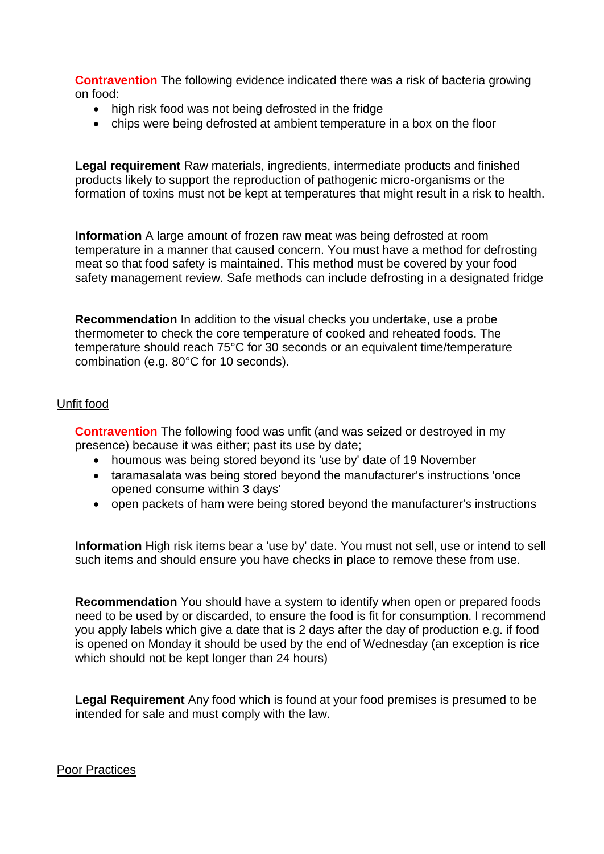**Contravention** The following evidence indicated there was a risk of bacteria growing on food:

- high risk food was not being defrosted in the fridge
- chips were being defrosted at ambient temperature in a box on the floor

 **Legal requirement** Raw materials, ingredients, intermediate products and finished products likely to support the reproduction of pathogenic micro-organisms or the formation of toxins must not be kept at temperatures that might result in a risk to health.

 temperature in a manner that caused concern. You must have a method for defrosting **Information** A large amount of frozen raw meat was being defrosted at room meat so that food safety is maintained. This method must be covered by your food safety management review. Safe methods can include defrosting in a designated fridge

 thermometer to check the core temperature of cooked and reheated foods. The **Recommendation** In addition to the visual checks you undertake, use a probe temperature should reach 75°C for 30 seconds or an equivalent time/temperature combination (e.g. 80°C for 10 seconds).

### Unfit food

**Contravention** The following food was unfit (and was seized or destroyed in my presence) because it was either; past its use by date;

- houmous was being stored beyond its 'use by' date of 19 November
- taramasalata was being stored beyond the manufacturer's instructions 'once opened consume within 3 days'
- open packets of ham were being stored beyond the manufacturer's instructions

**Information** High risk items bear a 'use by' date. You must not sell, use or intend to sell such items and should ensure you have checks in place to remove these from use.

 need to be used by or discarded, to ensure the food is fit for consumption. I recommend you apply labels which give a date that is 2 days after the day of production e.g. if food **Recommendation** You should have a system to identify when open or prepared foods is opened on Monday it should be used by the end of Wednesday (an exception is rice which should not be kept longer than 24 hours)

**Legal Requirement** Any food which is found at your food premises is presumed to be intended for sale and must comply with the law.

Poor Practices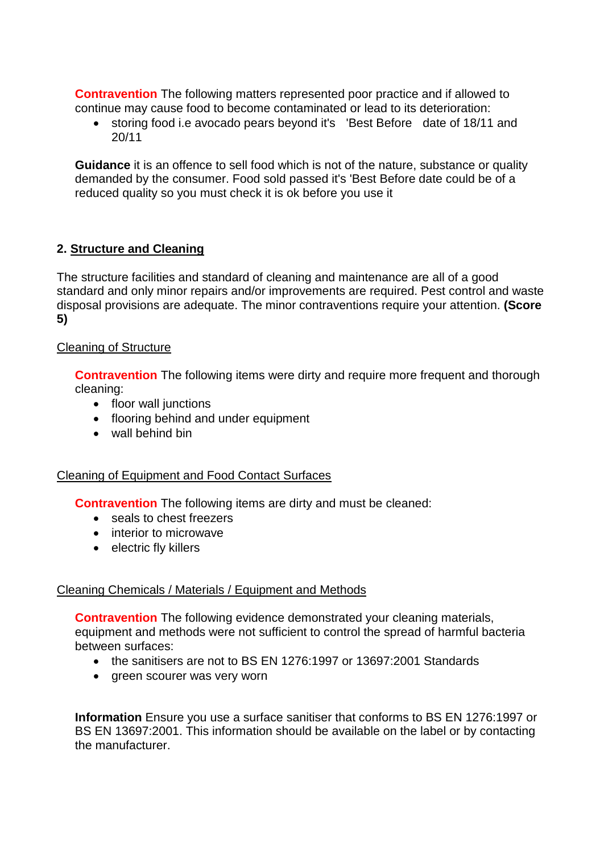**Contravention** The following matters represented poor practice and if allowed to continue may cause food to become contaminated or lead to its deterioration:

 storing food i.e avocado pears beyond it's 'Best Before date of 18/11 and 20/11

**Guidance** it is an offence to sell food which is not of the nature, substance or quality demanded by the consumer. Food sold passed it's 'Best Before date could be of a reduced quality so you must check it is ok before you use it

# **2. Structure and Cleaning**

The structure facilities and standard of cleaning and maintenance are all of a good standard and only minor repairs and/or improvements are required. Pest control and waste disposal provisions are adequate. The minor contraventions require your attention. **(Score 5)** 

### Cleaning of Structure

**Contravention** The following items were dirty and require more frequent and thorough cleaning:

- floor wall junctions
- flooring behind and under equipment
- wall behind bin

### Cleaning of Equipment and Food Contact Surfaces

**Contravention** The following items are dirty and must be cleaned:

- seals to chest freezers
- interior to microwave
- electric fly killers

# Cleaning Chemicals / Materials / Equipment and Methods

**Contravention** The following evidence demonstrated your cleaning materials, equipment and methods were not sufficient to control the spread of harmful bacteria between surfaces:

- the sanitisers are not to BS EN 1276:1997 or 13697:2001 Standards
- green scourer was very worn

**Information** Ensure you use a surface sanitiser that conforms to BS EN 1276:1997 or BS EN 13697:2001. This information should be available on the label or by contacting the manufacturer.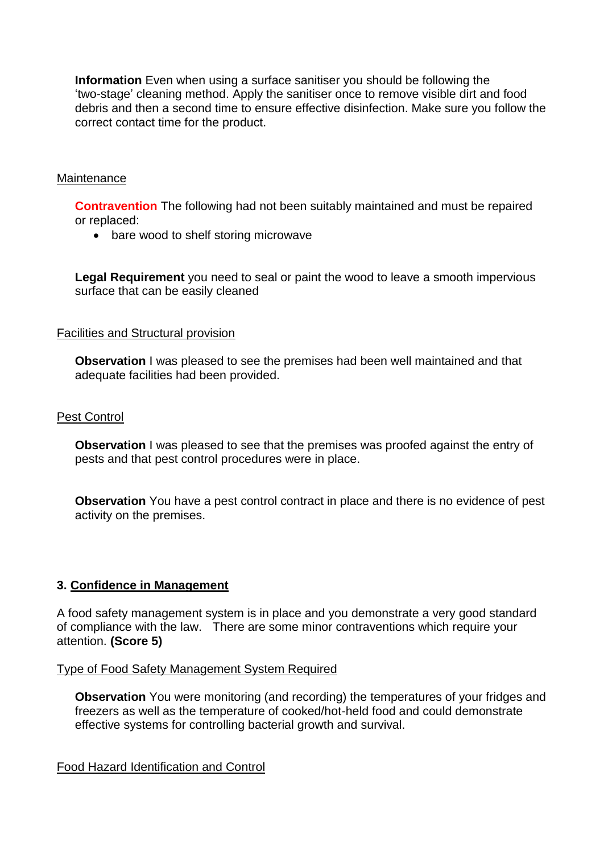'two-stage' cleaning method. Apply the sanitiser once to remove visible dirt and food debris and then a second time to ensure effective disinfection. Make sure you follow the correct contact time for the product. **Information** Even when using a surface sanitiser you should be following the

#### **Maintenance**

**Contravention** The following had not been suitably maintained and must be repaired or replaced:

• bare wood to shelf storing microwave

**Legal Requirement** you need to seal or paint the wood to leave a smooth impervious surface that can be easily cleaned

#### Facilities and Structural provision

 **Observation** I was pleased to see the premises had been well maintained and that adequate facilities had been provided.

### Pest Control

**Observation** I was pleased to see that the premises was proofed against the entry of pests and that pest control procedures were in place.

 **Observation** You have a pest control contract in place and there is no evidence of pest activity on the premises.

### **3. Confidence in Management**

 of compliance with the law. There are some minor contraventions which require your A food safety management system is in place and you demonstrate a very good standard attention. **(Score 5)** 

#### Type of Food Safety Management System Required

**Observation** You were monitoring (and recording) the temperatures of your fridges and freezers as well as the temperature of cooked/hot-held food and could demonstrate effective systems for controlling bacterial growth and survival.

Food Hazard Identification and Control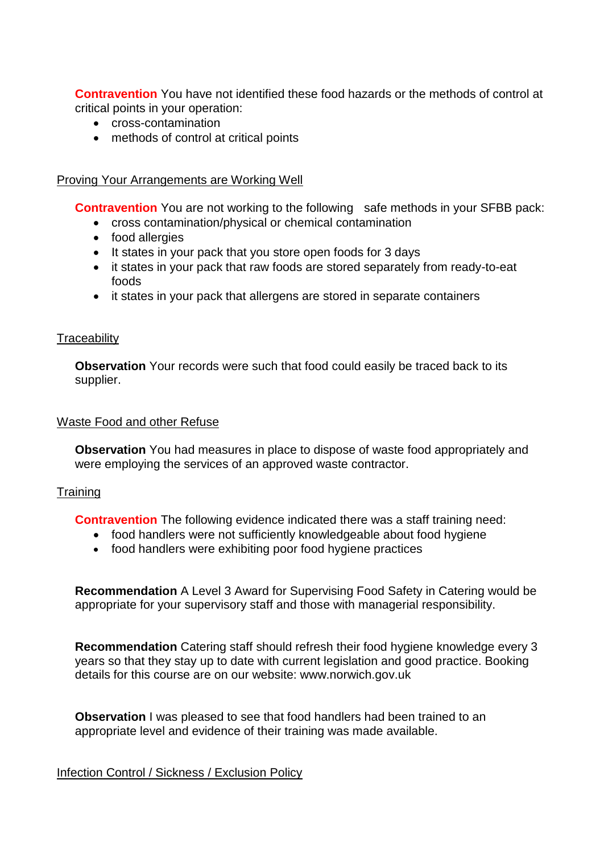**Contravention** You have not identified these food hazards or the methods of control at critical points in your operation:

- cross-contamination
- methods of control at critical points

### Proving Your Arrangements are Working Well

**Contravention** You are not working to the following safe methods in your SFBB pack:

- cross contamination/physical or chemical contamination
- food allergies
- It states in your pack that you store open foods for 3 days
- it states in your pack that raw foods are stored separately from ready-to-eat foods
- it states in your pack that allergens are stored in separate containers

### **Traceability**

**Observation** Your records were such that food could easily be traced back to its supplier.

#### Waste Food and other Refuse

 **Observation** You had measures in place to dispose of waste food appropriately and were employing the services of an approved waste contractor.

### **Training**

**Contravention** The following evidence indicated there was a staff training need:

- food handlers were not sufficiently knowledgeable about food hygiene
- food handlers were exhibiting poor food hygiene practices

**Recommendation** A Level 3 Award for Supervising Food Safety in Catering would be appropriate for your supervisory staff and those with managerial responsibility.

**Recommendation** Catering staff should refresh their food hygiene knowledge every 3 years so that they stay up to date with current legislation and good practice. Booking details for this course are on our website:<www.norwich.gov.uk>

 **Observation** I was pleased to see that food handlers had been trained to an appropriate level and evidence of their training was made available.

#### Infection Control / Sickness / Exclusion Policy